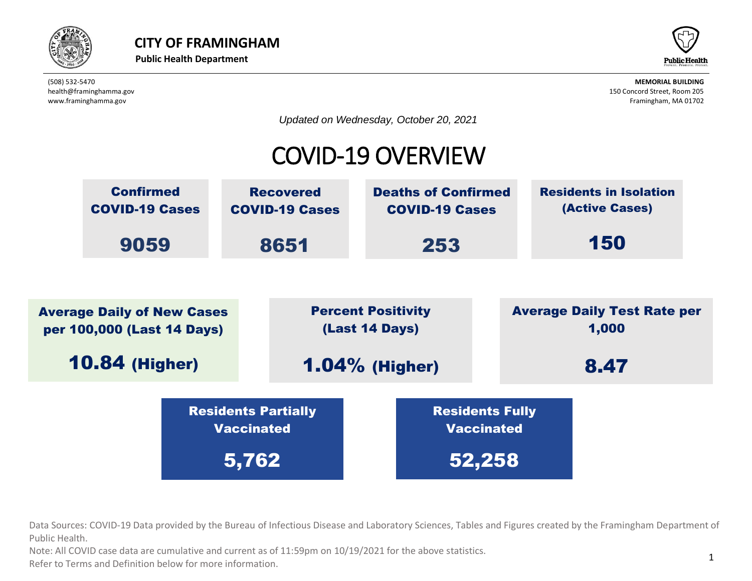



*Updated on Wednesday, October 20, 2021*

## COVID-19 OVERVIEW



beta provided by the Bureau of Infectious Disease and Laboratory Sciences, Tables and Fig. Data Sources: COVID-19 Data provided by the Bureau of Infectious Disease and Laboratory Sciences, Tables and Figures created by the Framingham Department of  $\overline{\phantom{a}}$ Public Health. Vaccinated Residents Partially IC Dureau Or innec

ote: All COVID case data are cumulative and current as of 11:59pm on 10/19/2021 for the above statistics. Note: All COVID case data are cumulative and current as of 11:59pm on 10/19/2021 for the above statistics.

normation. Refer to Terms and Definition below for more information.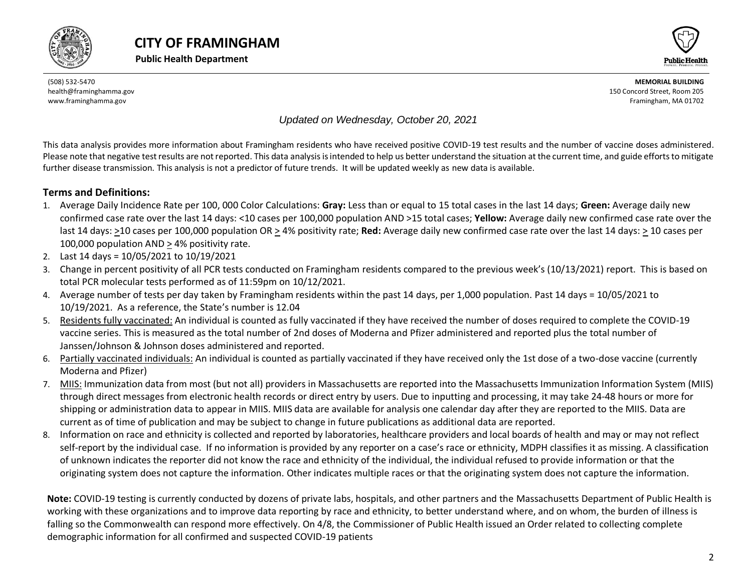





#### *Updated on Wednesday, October 20, 2021*

This data analysis provides more information about Framingham residents who have received positive COVID-19 test results and the number of vaccine doses administered. Please note that negative test results are not reported. This data analysis is intended to help us better understand the situation at the current time, and guide efforts to mitigate further disease transmission. This analysis is not a predictor of future trends. It will be updated weekly as new data is available.

#### **Terms and Definitions:**

- 1. Average Daily Incidence Rate per 100, 000 Color Calculations: **Gray:** Less than or equal to 15 total cases in the last 14 days; **Green:** Average daily new confirmed case rate over the last 14 days: <10 cases per 100,000 population AND >15 total cases; **Yellow:** Average daily new confirmed case rate over the last 14 days: >10 cases per 100,000 population OR > 4% positivity rate; **Red:** Average daily new confirmed case rate over the last 14 days: > 10 cases per 100,000 population AND > 4% positivity rate.
- 2. Last 14 days = 10/05/2021 to 10/19/2021
- 3. Change in percent positivity of all PCR tests conducted on Framingham residents compared to the previous week's (10/13/2021) report. This is based on total PCR molecular tests performed as of 11:59pm on 10/12/2021.
- 4. Average number of tests per day taken by Framingham residents within the past 14 days, per 1,000 population. Past 14 days = 10/05/2021 to 10/19/2021. As a reference, the State's number is 12.04
- 5. Residents fully vaccinated: An individual is counted as fully vaccinated if they have received the number of doses required to complete the COVID-19 vaccine series. This is measured as the total number of 2nd doses of Moderna and Pfizer administered and reported plus the total number of Janssen/Johnson & Johnson doses administered and reported.
- 6. Partially vaccinated individuals: An individual is counted as partially vaccinated if they have received only the 1st dose of a two-dose vaccine (currently Moderna and Pfizer)
- 7. MIIS: Immunization data from most (but not all) providers in Massachusetts are reported into the Massachusetts Immunization Information System (MIIS) through direct messages from electronic health records or direct entry by users. Due to inputting and processing, it may take 24-48 hours or more for shipping or administration data to appear in MIIS. MIIS data are available for analysis one calendar day after they are reported to the MIIS. Data are current as of time of publication and may be subject to change in future publications as additional data are reported.
- 8. Information on race and ethnicity is collected and reported by laboratories, healthcare providers and local boards of health and may or may not reflect self-report by the individual case. If no information is provided by any reporter on a case's race or ethnicity, MDPH classifies it as missing. A classification of unknown indicates the reporter did not know the race and ethnicity of the individual, the individual refused to provide information or that the originating system does not capture the information. Other indicates multiple races or that the originating system does not capture the information.

<span id="page-1-0"></span>**Note:** COVID-19 testing is currently conducted by dozens of private labs, hospitals, and other partners and the Massachusetts Department of Public Health is working with these organizations and to improve data reporting by race and ethnicity, to better understand where, and on whom, the burden of illness is falling so the Commonwealth can respond more effectively. On 4/8, the Commissioner of Public Health issued an Order related to collecting complete demographic information for all confirmed and suspected COVID-19 patients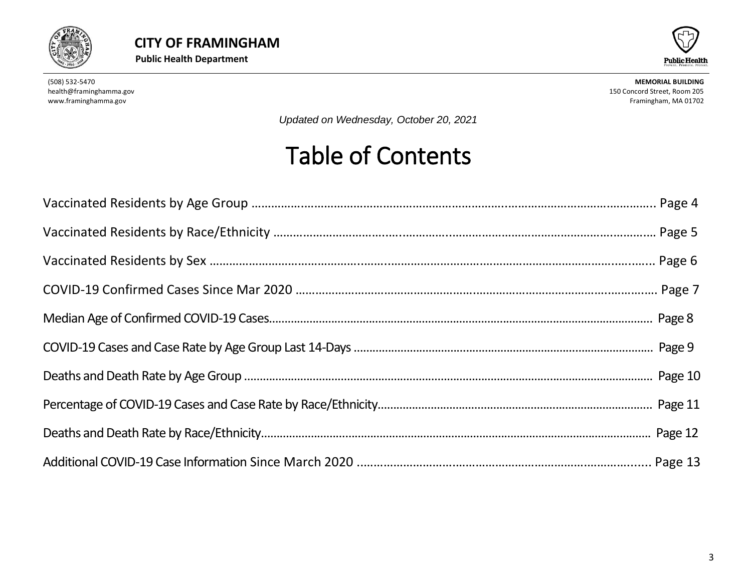



*Updated on Wednesday, October 20, 2021*

# Table of Contents

<span id="page-2-0"></span>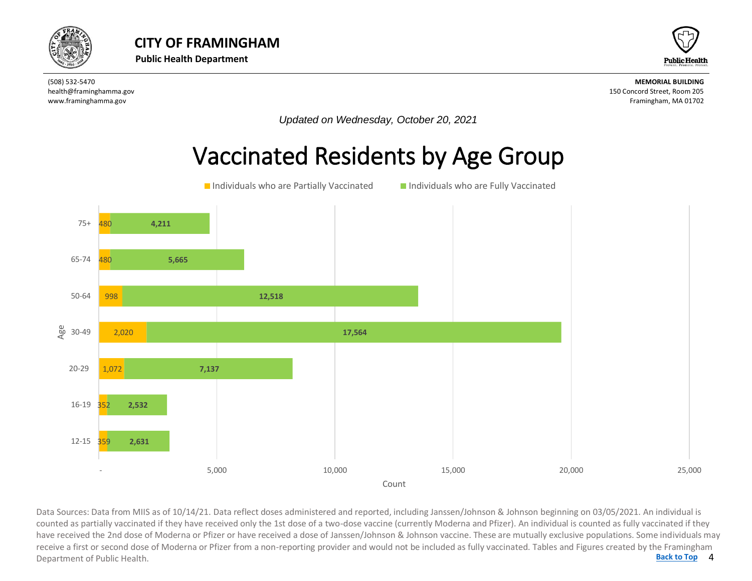



*Updated on Wednesday, October 20, 2021*

## Vaccinated Residents by Age Group



4 **[Back to Top](#page-1-0)** Data Sources: Data from MIIS as of 10/14/21. Data reflect doses administered and reported, including Janssen/Johnson & Johnson beginning on 03/05/2021. An individual is<br>counted as partially vaccinated if they have received counted as partially vaccinated if they have received only the 1st dose of a two-dose vaccine (currently Moderna and Pfizer). An individual is counted as fully vaccinated if they have received the 2nd dose of Moderna or Pfizer or have received a dose of Janssen/Johnson & Johnson vaccine. These are mutually exclusive populations. Some individuals may receive a first or second dose of Moderna or Pfizer from a non-reporting provider and would not be included as fully vaccinated. Tables and Figures created by the Framingham Department of Public Health.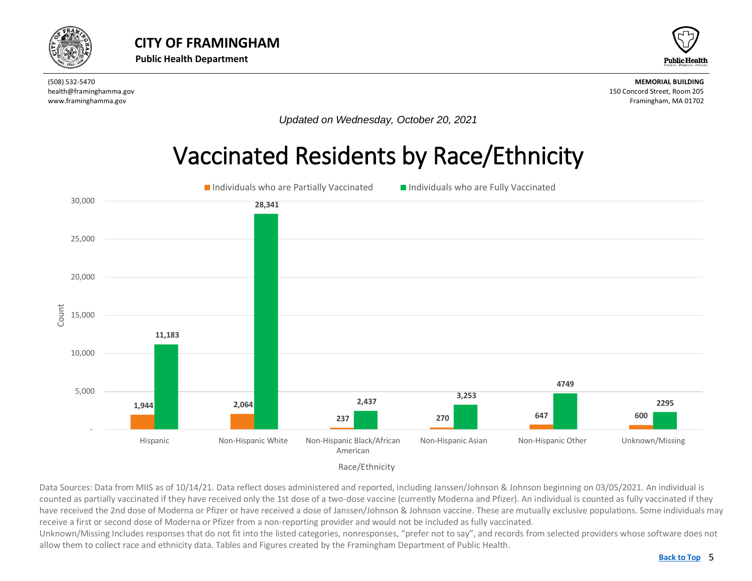<span id="page-4-0"></span>



*Updated on Wednesday, October 20, 2021*

## Vaccinated Residents by Race/Ethnicity



Data Sources: Data from MIIS as of 10/14/21. Data reflect doses administered and reported, including Janssen/Johnson & Johnson beginning on 03/05/2021. An individual is counted as partially vaccinated if they have received only the 1st dose of a two-dose vaccine (currently Moderna and Pfizer). An individual is counted as fully vaccinated if they have received the 2nd dose of Moderna or Pfizer or have received a dose of Janssen/Johnson & Johnson vaccine. These are mutually exclusive populations. Some individuals may receive a first or second dose of Moderna or Pfizer from a non-reporting provider and would not be included as fully vaccinated.

Unknown/Missing Includes responses that do not fit into the listed categories, nonresponses, "prefer not to say", and records from selected providers whose software does not allow them to collect race and ethnicity data. Tables and Figures created by the Framingham Department of Public Health.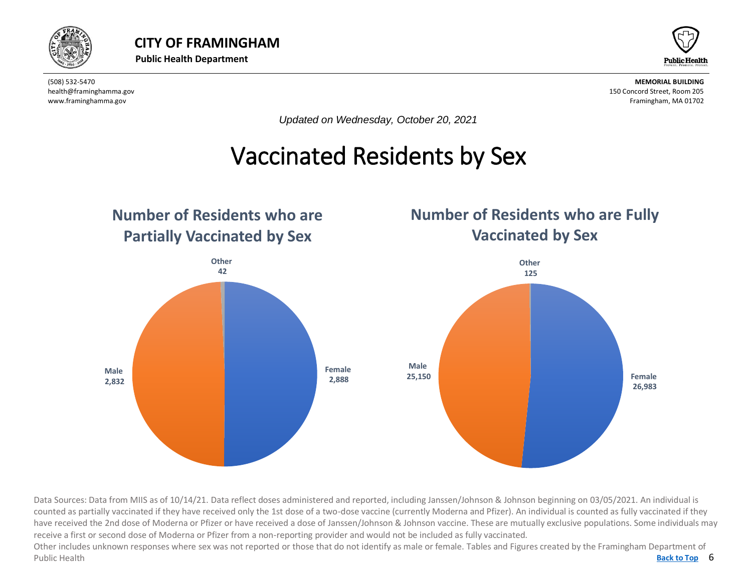



*Updated on Wednesday, October 20, 2021*

## Vaccinated Residents by Sex

<span id="page-5-0"></span>

Data Sources: Data from MIIS as of 10/14/21. Data reflect doses administered and reported, including Janssen/Johnson & Johnson beginning on 03/05/2021. An individual is counted as partially vaccinated if they have received only the 1st dose of a two-dose vaccine (currently Moderna and Pfizer). An individual is counted as fully vaccinated if they have received the 2nd dose of Moderna or Pfizer or have received a dose of Janssen/Johnson & Johnson vaccine. These are mutually exclusive populations. Some individuals may receive a first or second dose of Moderna or Pfizer from a non-reporting provider and would not be included as fully vaccinated.

Back to Top 6 Other includes unknown responses where sex was not reported or those that do not identify as male or female. Tables and Figures created by the Framingham Department of Public Health **[Back to Top](#page-1-0)**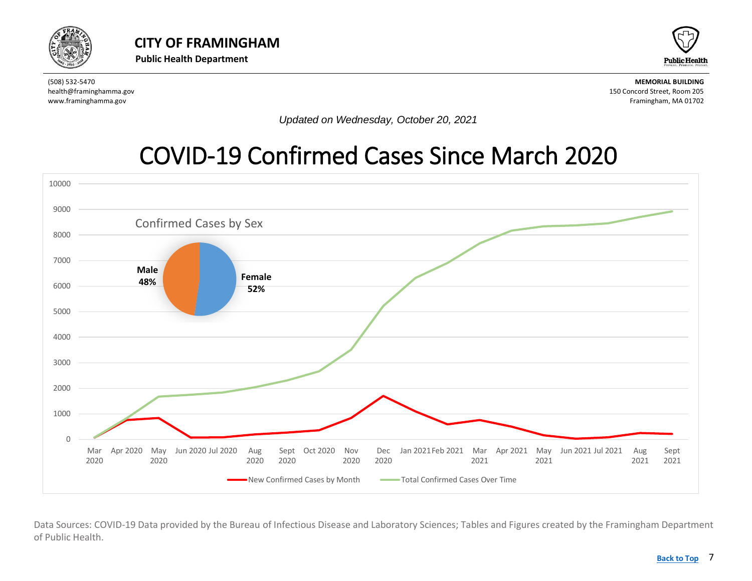<span id="page-6-0"></span>



*Updated on Wednesday, October 20, 2021*

### [COVID-19 Confirmed Cases Since March 2020](#page-6-0)



Data Sources: COVID-19 Data provided by the Bureau of Infectious Disease and Laboratory Sciences; Tables and Figures created by the Framingham Department of Public Health.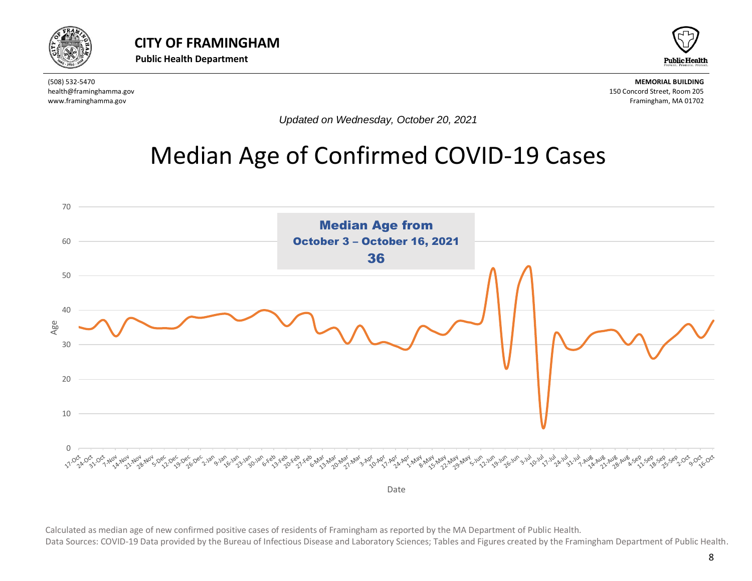



*Updated on Wednesday, October 20, 2021*

## <span id="page-7-0"></span>Median Age of Confirmed COVID-19 Cases



Calculated as median age of new confirmed positive cases of residents of Framingham as reported by the MA Department of Public Health. Data Sources: COVID-19 Data provided by the Bureau of Infectious Disease and Laboratory Sciences; Tables and Figures created by the Framingham Department of Public Health.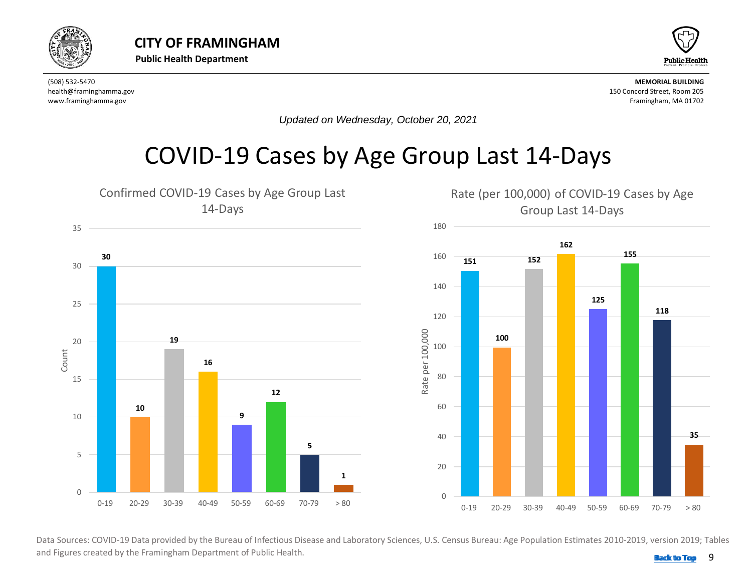<span id="page-8-0"></span>



*Updated on Wednesday, October 20, 2021*

## COVID-19 Cases by Age Group Last 14-Days



 and Figures created by the Framingham Department of Public Health. **Back 10 and 1999 [Back to Top](#page-1-0)**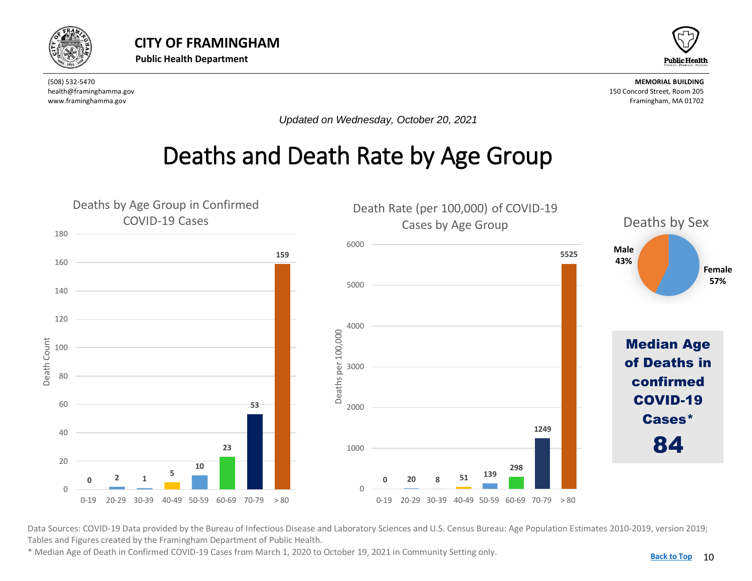<span id="page-9-0"></span>



*Updated on Wednesday, October 20, 2021*

## Deaths and Death Rate by Age Group



Data Sources: COVID-19 Data provided by the Bureau of Infectious Disease and Laboratory Sciences and U.S. Census Bureau: Age Population Estimates 2010-2019, version 2019; Tables and Figures created by the Framingham Department of Public Health.

\* Median Age of Death in Confirmed COVID-19 Cases from March 1, 2020 to October 19, 2021 in Community Setting only.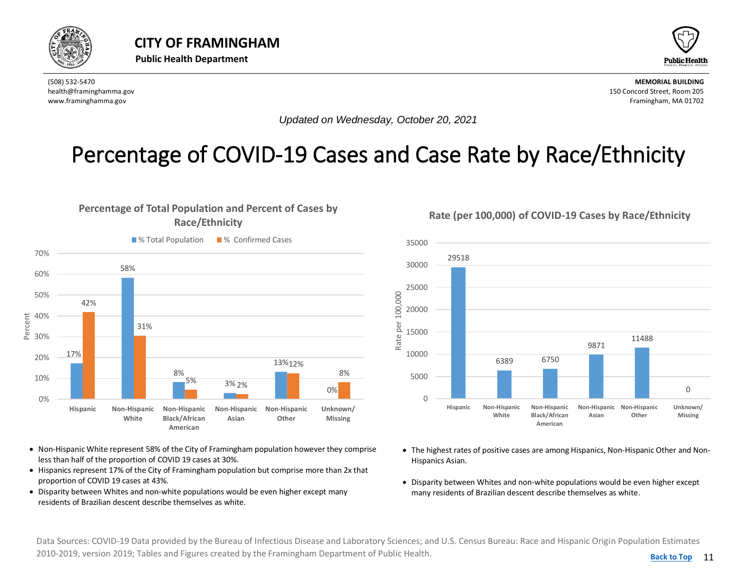<span id="page-10-0"></span>



*Updated on Wednesday, October 20, 2021*

### Percentage of COVID-19 Cases and Case Rate by Race/Ethnicity



- Non-Hispanic White represent 58% of the City of Framingham population however they comprise less than half of the proportion of COVID 19 cases at 30%.
- Hispanics represent 17% of the City of Framingham population but comprise more than 2x that proportion of COVID 19 cases at 43%.
- Disparity between Whites and non-white populations would be even higher except many residents of Brazilian descent describe themselves as white.

**Rate (per 100,000) of COVID-19 Cases by Race/Ethnicity**



- The highest rates of positive cases are among Hispanics, Non-Hispanic Other and Non-Hispanics Asian.
- Disparity between Whites and non-white populations would be even higher except many residents of Brazilian descent describe themselves as white.

Data Sources: COVID-19 Data provided by the Bureau of Infectious Disease and Laboratory Sciences; and U.S. Census Bureau: Race and Hispanic Origin Population Estimates 2010-2019, version 2019; Tables and Figures created by the Framingham Department of Public Health.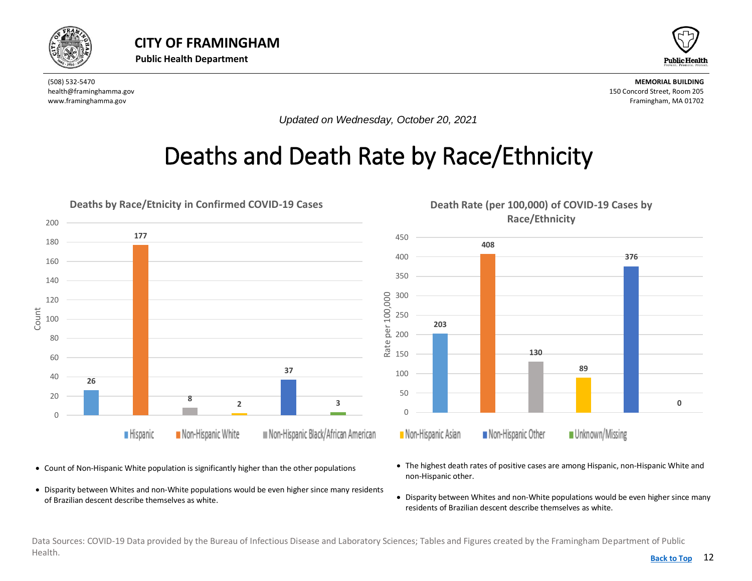<span id="page-11-0"></span>



*Updated on Wednesday, October 20, 2021*

## Deaths and Death Rate by Race/Ethnicity



• Count of Non-Hispanic White population is significantly higher than the other populations

• Disparity between Whites and non-White populations would be even higher since many residents of Brazilian descent describe themselves as white.



- The highest death rates of positive cases are among Hispanic, non-Hispanic White and non-Hispanic other.
- Disparity between Whites and non-White populations would be even higher since many residents of Brazilian descent describe themselves as white.

Data Sources: COVID-19 Data provided by the Bureau of Infectious Disease and Laboratory Sciences; Tables and Figures created by the Framingham Department of Public Health. **[Back to Top](#page-1-0)**